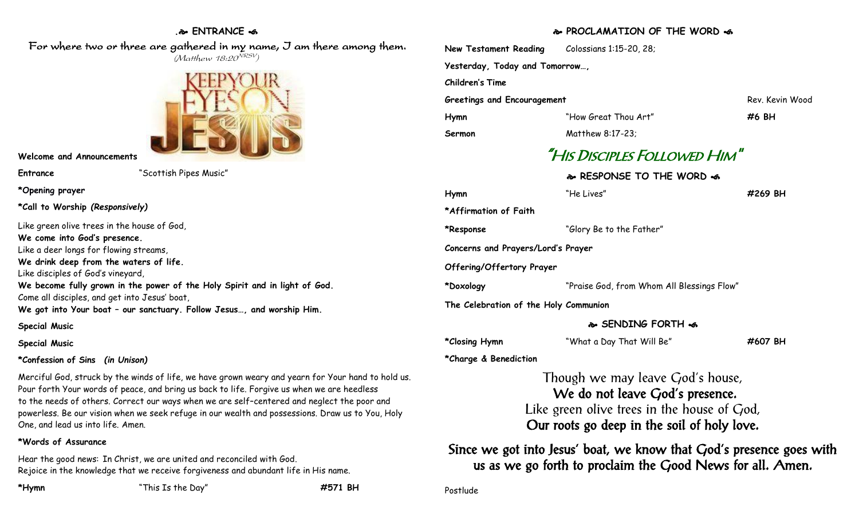## **. ENTRANCE**

## For where two or three are gathered in my name, J am there among them. (Matthew 18:20<sup>NRSV</sup>)



**Welcome and Announcements**

**Entrance** "Scottish Pipes Music"

**\*Opening prayer**

**\*Call to Worship** *(Responsively)*

Like green olive trees in the house of God,

**We come into God's presence.**

Like a deer longs for flowing streams,

**We drink deep from the waters of life.**

Like disciples of God's vineyard,

**We become fully grown in the power of the Holy Spirit and in light of God.** Come all disciples, and get into Jesus' boat,

**We got into Your boat – our sanctuary. Follow Jesus…, and worship Him.**

**Special Music**

**Special Music**

## **\*Confession of Sins** *(in Unison)*

Merciful God, struck by the winds of life, we have grown weary and yearn for Your hand to hold us. Pour forth Your words of peace, and bring us back to life. Forgive us when we are heedless to the needs of others. Correct our ways when we are self–centered and neglect the poor and powerless. Be our vision when we seek refuge in our wealth and possessions. Draw us to You, Holy One, and lead us into life. Amen.

## **\*Words of Assurance**

Hear the good news: In Christ, we are united and reconciled with God. Rejoice in the knowledge that we receive forgiveness and abundant life in His name.

**\*Hymn** "This Is the Day" **#571 BH**

## **PROCLAMATION OF THE WORD**

|                                       | <b>&amp; PROCLAMATION OF THE WORD &amp;</b>                                                                                                                          |                 |
|---------------------------------------|----------------------------------------------------------------------------------------------------------------------------------------------------------------------|-----------------|
| <b>New Testament Reading</b>          | Colossians 1:15-20, 28;                                                                                                                                              |                 |
| Yesterday, Today and Tomorrow,        |                                                                                                                                                                      |                 |
| <b>Children's Time</b>                |                                                                                                                                                                      |                 |
| <b>Greetings and Encouragement</b>    |                                                                                                                                                                      | Rev. Kevin Wood |
| Hymn                                  | "How Great Thou Art"                                                                                                                                                 | #6 BH           |
| Sermon                                | Matthew 8:17-23;                                                                                                                                                     |                 |
|                                       | "HIS DISCIPLES FOLLOWED HIM"                                                                                                                                         |                 |
|                                       | & RESPONSE TO THE WORD &                                                                                                                                             |                 |
| Hymn                                  | "He Lives"                                                                                                                                                           | #269 BH         |
| *Affirmation of Faith                 |                                                                                                                                                                      |                 |
| *Response                             | "Glory Be to the Father"                                                                                                                                             |                 |
| Concerns and Prayers/Lord's Prayer    |                                                                                                                                                                      |                 |
| Offering/Offertory Prayer             |                                                                                                                                                                      |                 |
| *Doxology                             | "Praise God, from Whom All Blessings Flow"                                                                                                                           |                 |
| The Celebration of the Holy Communion |                                                                                                                                                                      |                 |
|                                       | & SENDING FORTH &                                                                                                                                                    |                 |
| *Closing Hymn                         | "What a Day That Will Be"                                                                                                                                            | #607 BH         |
| *Charge & Benediction                 |                                                                                                                                                                      |                 |
|                                       | Though we may leave God's house,<br>We do not leave God's presence.<br>Like green olive trees in the house of $God$ ,<br>Our roots go deep in the soil of holy love. |                 |

Since we got into Jesus' boat, we know that God's presence goes with us as we go forth to proclaim the Good News for all. Amen.

Postlude